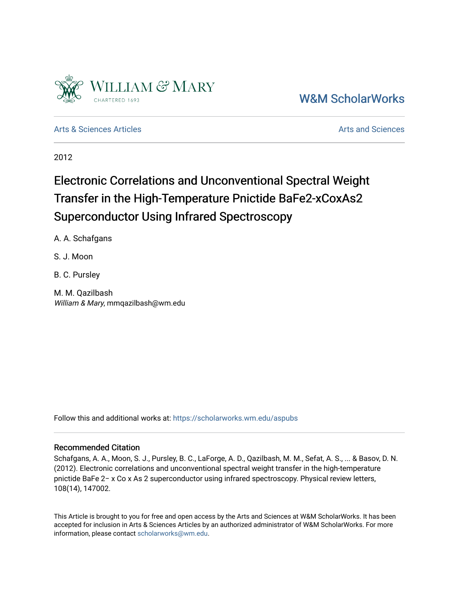

[W&M ScholarWorks](https://scholarworks.wm.edu/) 

[Arts & Sciences Articles](https://scholarworks.wm.edu/aspubs) **Articles** Articles [Arts and Sciences](https://scholarworks.wm.edu/as) Arts and Sciences Arts and Sciences Arts and Sciences

2012

## Electronic Correlations and Unconventional Spectral Weight Transfer in the High-Temperature Pnictide BaFe2-xCoxAs2 Superconductor Using Infrared Spectroscopy

A. A. Schafgans

S. J. Moon

B. C. Pursley

M. M. Qazilbash William & Mary, mmqazilbash@wm.edu

Follow this and additional works at: [https://scholarworks.wm.edu/aspubs](https://scholarworks.wm.edu/aspubs?utm_source=scholarworks.wm.edu%2Faspubs%2F1574&utm_medium=PDF&utm_campaign=PDFCoverPages) 

## Recommended Citation

Schafgans, A. A., Moon, S. J., Pursley, B. C., LaForge, A. D., Qazilbash, M. M., Sefat, A. S., ... & Basov, D. N. (2012). Electronic correlations and unconventional spectral weight transfer in the high-temperature pnictide BaFe 2− x Co x As 2 superconductor using infrared spectroscopy. Physical review letters, 108(14), 147002.

This Article is brought to you for free and open access by the Arts and Sciences at W&M ScholarWorks. It has been accepted for inclusion in Arts & Sciences Articles by an authorized administrator of W&M ScholarWorks. For more information, please contact [scholarworks@wm.edu](mailto:scholarworks@wm.edu).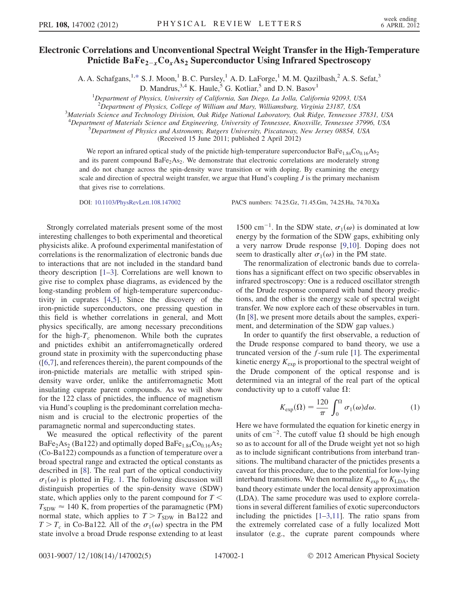## <span id="page-1-1"></span>Electronic Correlations and Unconventional Spectral Weight Transfer in the High-Temperature Pnictide  $BaFe_{2-x}Co_{x}As_{2}$  Superconductor Using Infrared Spectroscopy

A. A. Schafgans,<sup>1[,\\*](#page-4-0)</sup> S. J. Moon,<sup>1</sup> B. C. Pursley,<sup>1</sup> A. D. LaForge,<sup>1</sup> M. M. Qazilbash,<sup>2</sup> A. S. Sefat,<sup>3</sup>

D. Mandrus,  $3.4$  K. Haule,  $5$  G. Kotliar,  $5$  and D. N. Basov<sup>1</sup>

<sup>1</sup>Department of Physics, University of California, San Diego, La Jolla, California 92093, USA

<sup>2</sup>Department of Physics, College of William and Mary, Williamsburg, Virginia 23187, USA<sup>3</sup>Materials Science and Technology Division, Oak Bidge National Laboratory Oak Bidge, Tennessee

<sup>3</sup>Materials Science and Technology Division, Oak Ridge National Laboratory, Oak Ridge, Tennessee 37831, USA

<sup>4</sup>Department of Materials Science and Engineering, University of Tennessee, Knoxville, Tennessee 37996, USA 5<br>5 Department of Physics and Astronomy Puteers University Piecetaway Naw Jersey 08854, USA

 ${}^{5}$ Department of Physics and Astronomy, Rutgers University, Piscataway, New Jersey 08854, USA

(Received 15 June 2011; published 2 April 2012)

We report an infrared optical study of the pnictide high-temperature superconductor  $BaFe<sub>1.84</sub>Co<sub>0.16</sub>As<sub>2</sub>$ and its parent compound  $BaFe<sub>2</sub>As<sub>2</sub>$ . We demonstrate that electronic correlations are moderately strong and do not change across the spin-density wave transition or with doping. By examining the energy scale and direction of spectral weight transfer, we argue that Hund's coupling  $J$  is the primary mechanism that gives rise to correlations.

DOI: [10.1103/PhysRevLett.108.147002](http://dx.doi.org/10.1103/PhysRevLett.108.147002) PACS numbers: 74.25.Gz, 71.45.Gm, 74.25.Ha, 74.70.Xa

Strongly correlated materials present some of the most interesting challenges to both experimental and theoretical physicists alike. A profound experimental manifestation of correlations is the renormalization of electronic bands due to interactions that are not included in the standard band theory description [[1](#page-4-1)[–3](#page-4-2)]. Correlations are well known to give rise to complex phase diagrams, as evidenced by the long-standing problem of high-temperature superconductivity in cuprates [[4,](#page-4-3)[5\]](#page-4-4). Since the discovery of the iron-pnictide superconductors, one pressing question in this field is whether correlations in general, and Mott physics specifically, are among necessary preconditions for the high- $T_c$  phenomenon. While both the cuprates and pnictides exhibit an antiferromagnetically ordered ground state in proximity with the superconducting phase ([[6](#page-4-5),[7\]](#page-4-6), and references therein), the parent compounds of the iron-pnictide materials are metallic with striped spindensity wave order, unlike the antiferromagnetic Mott insulating cuprate parent compounds. As we will show for the 122 class of pnictides, the influence of magnetism via Hund's coupling is the predominant correlation mechanism and is crucial to the electronic properties of the paramagnetic normal and superconducting states.

We measured the optical reflectivity of the parent  $BaFe<sub>2</sub>As<sub>2</sub>$  (Ba122) and optimally doped  $BaFe<sub>1.84</sub>Co<sub>0.16</sub>As<sub>2</sub>$ (Co-Ba122) compounds as a function of temperature over a broad spectral range and extracted the optical constants as described in [[8\]](#page-4-7). The real part of the optical conductivity  $\sigma_1(\omega)$  is plotted in Fig. [1.](#page-2-0) The following discussion will distinguish properties of the spin-density wave (SDW) state, which applies only to the parent compound for  $T \leq$  $T_{SDW} \approx 140 \text{ K}$ , from properties of the paramagnetic (PM) normal state, which applies to  $T>T_{SDW}$  in Ba122 and  $T>T_c$  in Co-Ba122. All of the  $\sigma_1(\omega)$  spectra in the PM state involve a broad Drude response extending to at least 1500 cm<sup>-1</sup>. In the SDW state,  $\sigma_1(\omega)$  is dominated at low energy by the formation of the SDW gaps, exhibiting only a very narrow Drude response [\[9,](#page-4-8)[10\]](#page-4-9). Doping does not seem to drastically alter  $\sigma_1(\omega)$  in the PM state.

The renormalization of electronic bands due to correlations has a significant effect on two specific observables in infrared spectroscopy: One is a reduced oscillator strength of the Drude response compared with band theory predictions, and the other is the energy scale of spectral weight transfer. We now explore each of these observables in turn. (In [\[8\]](#page-4-7), we present more details about the samples, experiment, and determination of the SDW gap values.)

In order to quantify the first observable, a reduction of the Drude response compared to band theory, we use a truncated version of the  $f$ -sum rule [\[1\]](#page-4-1). The experimental kinetic energy  $K_{\text{exp}}$  is proportional to the spectral weight of the Drude component of the optical response and is determined via an integral of the real part of the optical conductivity up to a cutoff value  $\Omega$ :

$$
K_{\exp}(\Omega) = \frac{120}{\pi} \int_0^{\Omega} \sigma_1(\omega) d\omega.
$$
 (1)

<span id="page-1-0"></span>Here we have formulated the equation for kinetic energy in units of cm<sup>-2</sup>. The cutoff value  $\Omega$  should be high enough so as to account for all of the Drude weight yet not so high as to include significant contributions from interband transitions. The multiband character of the pnictides presents a caveat for this procedure, due to the potential for low-lying interband transitions. We then normalize  $K_{\text{exp}}$  to  $K_{\text{LDA}}$ , the band theory estimate under the local density approximation (LDA). The same procedure was used to explore correlations in several different families of exotic superconductors including the pnictides  $[1-3,11]$  $[1-3,11]$  $[1-3,11]$  $[1-3,11]$  $[1-3,11]$ . The ratio spans from the extremely correlated case of a fully localized Mott insulator (e.g., the cuprate parent compounds where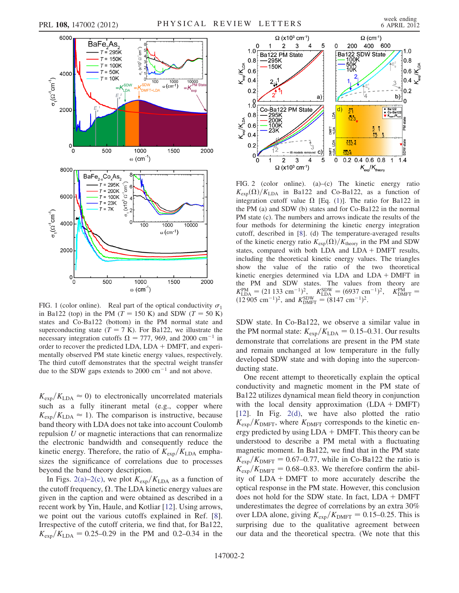<span id="page-2-0"></span>

in Ba122 (top) in the PM ( $T = 150$  K) and SDW ( $T = 50$  K) states and Co-Ba122 (bottom) in the PM normal state and superconducting state  $(T = 7 K)$ . For Ba122, we illustrate the necessary integration cutoffs  $\Omega = 777, 969$ , and 2000 cm<sup>-1</sup> in order to recover the predicted LDA,  $LDA + DMFT$ , and experimentally observed PM state kinetic energy values, respectively. The third cutoff demonstrates that the spectral weight transfer due to the SDW gaps extends to  $2000 \text{ cm}^{-1}$  and not above.

 $K_{\text{exp}}/K_{\text{LDA}} \approx 0$ ) to electronically uncorrelated materials such as a fully itinerant metal (e.g., copper where  $K_{\text{exp}}/K_{\text{LDA}} \approx 1$ ). The comparison is instructive, because band theory with LDA does not take into account Coulomb repulsion U or magnetic interactions that can renormalize the electronic bandwidth and consequently reduce the kinetic energy. Therefore, the ratio of  $K_{\text{exp}}/K_{\text{LDA}}$  emphasizes the significance of correlations due to processes beyond the band theory description.

In Figs. [2\(a\)–2\(c\),](#page-2-1) we plot  $K_{\text{exp}}/K_{\text{LDA}}$  as a function of the cutoff frequency,  $\Omega$ . The LDA kinetic energy values are given in the caption and were obtained as described in a recent work by Yin, Haule, and Kotliar [[12](#page-4-11)]. Using arrows, we point out the various cutoffs explained in Ref. [[8\]](#page-4-7). Irrespective of the cutoff criteria, we find that, for Ba122,  $K_{\text{exp}}/K_{\text{LDA}} = 0.25{\text{-}}0.29$  in the PM and 0.2–0.34 in the

<span id="page-2-1"></span>

FIG. 2 (color online). (a)–(c) The kinetic energy ratio  $K_{\text{exp}}(\Omega)/K_{\text{LDA}}$  in Ba122 and Co-Ba122, as a function of integration cutoff value  $\Omega$  [Eq. ([1](#page-1-0))]. The ratio for Ba122 in the PM (a) and SDW (b) states and for Co-Ba122 in the normal PM state (c). The numbers and arrows indicate the results of the four methods for determining the kinetic energy integration cutoff, described in [[8](#page-4-7)]. (d) The temperature-averaged results of the kinetic energy ratio  $K_{\text{exp}}(\Omega)/K_{\text{theory}}$  in the PM and SDW states, compared with both LDA and  $LDA + DMFT$  results, including the theoretical kinetic energy values. The triangles show the value of the ratio of the two theoretical kinetic energies determined via LDA and LDA + DMFT in the PM and SDW states. The values from theory are  $\omega$  (cm<sup>-1</sup>)  $K_{\text{LDA}}^{\text{PM}} = (21\,133\,\text{cm}^{-1})^2$ ,  $K_{\text{LDA}}^{\text{SDW}} = (6937\,\text{cm}^{-1})^2$ ,  $K_{\text{DMFT}}^{\text{PM}} = (12\,905\,\text{cm}^{-1})^2$ , and  $K_{\text{DMFT}}^{\text{SDW}} = (8147\,\text{cm}^{-1})^2$ .

SDW state. In Co-Ba122, we observe a similar value in the PM normal state:  $K_{\text{exp}}/K_{\text{LDA}} = 0.15{\text -}0.31$ . Our results demonstrate that correlations are present in the PM state and remain unchanged at low temperature in the fully developed SDW state and with doping into the superconducting state.

One recent attempt to theoretically explain the optical conductivity and magnetic moment in the PM state of Ba122 utilizes dynamical mean field theory in conjunction with the local density approximation  $(LDA + DMFT)$ [\[12\]](#page-4-11). In Fig. [2\(d\),](#page-2-1) we have also plotted the ratio  $K_{\text{exp}}/K_{\text{DMFT}}$ , where  $K_{\text{DMFT}}$  corresponds to the kinetic energy predicted by using  $LDA + DMFT$ . This theory can be understood to describe a PM metal with a fluctuating magnetic moment. In Ba122, we find that in the PM state  $K_{\text{exp}}/K_{\text{DMFT}} = 0.67{\text -}0.77$ , while in Co-Ba122 the ratio is  $K_{\text{exp}}/K_{\text{DMFT}} = 0.68{\text -}0.83$ . We therefore confirm the ability of  $LDA + DMFT$  to more accurately describe the optical response in the PM state. However, this conclusion does not hold for the SDW state. In fact,  $LDA + DMFT$ underestimates the degree of correlations by an extra 30% over LDA alone, giving  $K_{\text{exp}}/K_{\text{DMFT}} = 0.15{\text -}0.25$ . This is surprising due to the qualitative agreement between our data and the theoretical spectra. (We note that this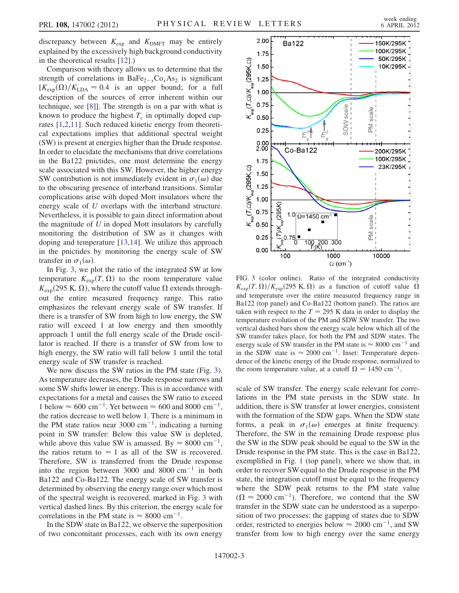discrepancy between  $K_{\text{exp}}$  and  $K_{\text{DMFT}}$  may be entirely explained by the excessively high background conductivity in the theoretical results [\[12\]](#page-4-11).)

Comparison with theory allows us to determine that the strength of correlations in BaFe<sub>2-x</sub>Co<sub>x</sub>As<sub>2</sub> is significant  $[K_{\text{exp}}(\Omega)/K_{\text{LDA}} \approx 0.4$  is an upper bound; for a full description of the sources of error inherent within our technique, see [\[8](#page-4-7)]]. The strength is on a par with what is known to produce the highest  $T_c$  in optimally doped cuprates [\[1,](#page-4-1)[2,](#page-4-12)[11\]](#page-4-10). Such reduced kinetic energy from theoretical expectations implies that additional spectral weight (SW) is present at energies higher than the Drude response. In order to elucidate the mechanisms that drive correlations in the Ba122 pnictides, one must determine the energy scale associated with this SW. However, the higher energy SW contribution is not immediately evident in  $\sigma_1(\omega)$  due to the obscuring presence of interband transitions. Similar complications arise with doped Mott insulators where the energy scale of U overlaps with the interband structure. Nevertheless, it is possible to gain direct information about the magnitude of  $U$  in doped Mott insulators by carefully monitoring the distribution of SW as it changes with doping and temperature [\[13](#page-5-0)[,14\]](#page-5-1). We utilize this approach in the pnictides by monitoring the energy scale of SW transfer in  $\sigma_1(\omega)$ .

In Fig. [3](#page-3-0), we plot the ratio of the integrated SW at low temperature  $K_{\text{exp}}(T, \Omega)$  to the room temperature value  $K_{\text{exp}}(295 \text{ K}, \Omega)$ , where the cutoff value  $\Omega$  extends throughout the entire measured frequency range. This ratio emphasizes the relevant energy scale of SW transfer. If there is a transfer of SW from high to low energy, the SW ratio will exceed 1 at low energy and then smoothly approach 1 until the full energy scale of the Drude oscillator is reached. If there is a transfer of SW from low to high energy, the SW ratio will fall below 1 until the total energy scale of SW transfer is reached.

We now discuss the SW ratios in the PM state (Fig. [3\)](#page-3-0). As temperature decreases, the Drude response narrows and some SW shifts lower in energy. This is in accordance with expectations for a metal and causes the SW ratio to exceed 1 below  $\approx 600 \text{ cm}^{-1}$ . Yet between  $\approx 600 \text{ and } 8000 \text{ cm}^{-1}$ , the ratios decrease to well below 1. There is a minimum in the PM state ratios near 3000 cm<sup>-1</sup>, indicating a turning point in SW transfer: Below this value SW is depleted, while above this value SW is amassed. By  $\approx 8000 \text{ cm}^{-1}$ , the ratios return to  $\approx 1$  as all of the SW is recovered. Therefore, SW is transferred from the Drude response into the region between 3000 and 8000  $cm^{-1}$  in both Ba122 and Co-Ba122. The energy scale of SW transfer is determined by observing the energy range over which most of the spectral weight is recovered, marked in Fig. [3](#page-3-0) with vertical dashed lines. By this criterion, the energy scale for correlations in the PM state is  $\approx 8000 \text{ cm}^{-1}$ .

In the SDW state in Ba122, we observe the superposition of two concomitant processes, each with its own energy

<span id="page-3-0"></span>

FIG. 3 (color online). Ratio of the integrated conductivity  $K_{\text{exp}}(T, \Omega)/K_{\text{exp}}(295 \text{ K}, \Omega)$  as a function of cutoff value  $\Omega$ and temperature over the entire measured frequency range in Ba122 (top panel) and Co-Ba122 (bottom panel). The ratios are taken with respect to the  $T = 295$  K data in order to display the temperature evolution of the PM and SDW SW transfer. The two vertical dashed bars show the energy scale below which all of the SW transfer takes place, for both the PM and SDW states. The energy scale of SW transfer in the PM state is  $\approx 8000 \text{ cm}^{-1}$  and in the SDW state is  $\approx 2000 \text{ cm}^{-1}$ . Inset: Temperature dependence of the kinetic energy of the Drude response, normalized to the room temperature value, at a cutoff  $\Omega = 1450 \text{ cm}^{-1}$ .

scale of SW transfer. The energy scale relevant for correlations in the PM state persists in the SDW state. In addition, there is SW transfer at lower energies, consistent with the formation of the SDW gaps. When the SDW state forms, a peak in  $\sigma_1(\omega)$  emerges at finite frequency. Therefore, the SW in the remaining Drude response plus the SW in the SDW peak should be equal to the SW in the Drude response in the PM state. This is the case in Ba122, exemplified in Fig. [1](#page-2-0) (top panel), where we show that, in order to recover SW equal to the Drude response in the PM state, the integration cutoff must be equal to the frequency where the SDW peak returns to the PM state value  $(\Omega \approx 2000 \text{ cm}^{-1})$ . Therefore, we contend that the SW transfer in the SDW state can be understood as a superposition of two processes: the gapping of states due to SDW order, restricted to energies below  $\approx 2000 \text{ cm}^{-1}$ , and SW transfer from low to high energy over the same energy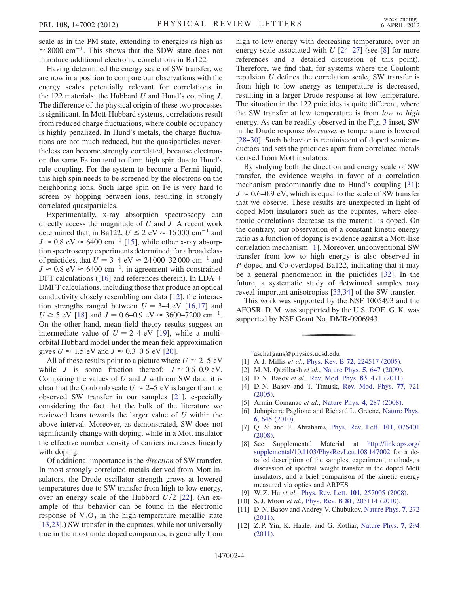scale as in the PM state, extending to energies as high as  $\approx 8000 \text{ cm}^{-1}$ . This shows that the SDW state does not introduce additional electronic correlations in Ba122.

Having determined the energy scale of SW transfer, we are now in a position to compare our observations with the energy scales potentially relevant for correlations in the 122 materials: the Hubbard  $U$  and Hund's coupling  $J$ . The difference of the physical origin of these two processes is significant. In Mott-Hubbard systems, correlations result from reduced charge fluctuations, where double occupancy is highly penalized. In Hund's metals, the charge fluctuations are not much reduced, but the quasiparticles nevertheless can become strongly correlated, because electrons on the same Fe ion tend to form high spin due to Hund's rule coupling. For the system to become a Fermi liquid, this high spin needs to be screened by the electrons on the neighboring ions. Such large spin on Fe is very hard to screen by hopping between ions, resulting in strongly correlated quasiparticles.

Experimentally, x-ray absorption spectroscopy can directly access the magnitude of  $U$  and  $J$ . A recent work determined that, in Ba122,  $U \le 2$  eV  $\approx 16000$  cm<sup>-1</sup> and  $J \approx 0.8$  eV  $\approx 6400$  cm<sup>-1</sup> [\[15\]](#page-5-2), while other x-ray absorption spectroscopy experiments determined, for a broad class of pnictides, that  $U = 3-4$  eV  $\approx 24\,000-32\,000$  cm<sup>-1</sup> and  $J \approx 0.8$  eV  $\approx 6400$  cm<sup>-1</sup>, in agreement with constrained DFT calculations ([\[16\]](#page-5-3) and references therein). In LDA  $+$ DMFT calculations, including those that produce an optical conductivity closely resembling our data [[12](#page-4-11)], the interaction strengths ranged between  $U = 3-4$  eV [\[16,](#page-5-3)[17\]](#page-5-4) and  $U \ge 5$  eV [[18](#page-5-5)] and  $J = 0.6{\text -}0.9$  eV  $\approx 3600{\text -}7200$  cm<sup>-1</sup>. On the other hand, mean field theory results suggest an intermediate value of  $U = 2-4$  eV [\[19\]](#page-5-6), while a multiorbital Hubbard model under the mean field approximation gives  $U \approx 1.5$  eV and  $J \approx 0.3{\text -}0.6$  eV [\[20\]](#page-5-7).

All of these results point to a picture where  $U \approx 2-5$  eV while J is some fraction thereof:  $J \approx 0.6{\text -}0.9 \text{ eV}$ . Comparing the values of  $U$  and  $J$  with our SW data, it is clear that the Coulomb scale  $U \approx 2{\text -}5 \text{ eV}$  is larger than the observed SW transfer in our samples [\[21\]](#page-5-8), especially considering the fact that the bulk of the literature we reviewed leans towards the larger value of U within the above interval. Moreover, as demonstrated, SW does not significantly change with doping, while in a Mott insulator the effective number density of carriers increases linearly with doping.

Of additional importance is the direction of SW transfer. In most strongly correlated metals derived from Mott insulators, the Drude oscillator strength grows at lowered temperatures due to SW transfer from high to low energy, over an energy scale of the Hubbard  $U/2$  [[22](#page-5-9)]. (An example of this behavior can be found in the electronic response of  $V_2O_3$  in the high-temperature metallic state [\[13](#page-5-0)[,23\]](#page-5-10).) SW transfer in the cuprates, while not universally true in the most underdoped compounds, is generally from high to low energy with decreasing temperature, over an energy scale associated with  $U$  [\[24–](#page-5-11)[27](#page-5-12)] (see [[8](#page-4-7)] for more references and a detailed discussion of this point). Therefore, we find that, for systems where the Coulomb repulsion U defines the correlation scale, SW transfer is from high to low energy as temperature is decreased, resulting in a larger Drude response at low temperature. The situation in the 122 pnictides is quite different, where the SW transfer at low temperature is from low to high energy. As can be readily observed in the Fig. [3](#page-3-0) inset, SW in the Drude response decreases as temperature is lowered [\[28–](#page-5-13)[30\]](#page-5-14). Such behavior is reminiscent of doped semiconductors and sets the pnictides apart from correlated metals derived from Mott insulators.

By studying both the direction and energy scale of SW transfer, the evidence weighs in favor of a correlation mechanism predominantly due to Hund's coupling [\[31\]](#page-5-15):  $J \approx 0.6$ –0.9 eV, which is equal to the scale of SW transfer that we observe. These results are unexpected in light of doped Mott insulators such as the cuprates, where electronic correlations decrease as the material is doped. On the contrary, our observation of a constant kinetic energy ratio as a function of doping is evidence against a Mott-like correlation mechanism [\[1](#page-4-1)]. Moreover, unconventional SW transfer from low to high energy is also observed in P-doped and Co-overdoped Ba122, indicating that it may be a general phenomenon in the pnictides [[32](#page-5-16)]. In the future, a systematic study of detwinned samples may reveal important anisotropies [\[33](#page-5-17)[,34\]](#page-5-18) of the SW transfer.

This work was supported by the NSF 1005493 and the AFOSR. D. M. was supported by the U.S. DOE. G. K. was supported by NSF Grant No. DMR-0906943.

[\\*a](#page-1-1)schafgans@physics.ucsd.edu

- <span id="page-4-1"></span><span id="page-4-0"></span>[1] A. J. Millis et al., Phys. Rev. B **72**[, 224517 \(2005\).](http://dx.doi.org/10.1103/PhysRevB.72.224517)
- <span id="page-4-12"></span><span id="page-4-2"></span>[2] M. M. Qazilbash et al., [Nature Phys.](http://dx.doi.org/10.1038/nphys1343) 5, 647 (2009).
- <span id="page-4-3"></span>[3] D. N. Basov et al., [Rev. Mod. Phys.](http://dx.doi.org/10.1103/RevModPhys.83.471) 83, 471 (2011).
- [4] D. N. Basov and T. Timusk, [Rev. Mod. Phys.](http://dx.doi.org/10.1103/RevModPhys.77.721) 77, 721 [\(2005\)](http://dx.doi.org/10.1103/RevModPhys.77.721).
- <span id="page-4-5"></span><span id="page-4-4"></span>[5] Armin Comanac et al., [Nature Phys.](http://dx.doi.org/10.1038/nphys883) 4, 287 (2008).
- [6] Johnpierre Paglione and Richard L. Greene, [Nature Phys.](http://dx.doi.org/10.1038/nphys1759) 6[, 645 \(2010\)](http://dx.doi.org/10.1038/nphys1759).
- <span id="page-4-6"></span>[7] Q. Si and E. Abrahams, [Phys. Rev. Lett.](http://dx.doi.org/10.1103/PhysRevLett.101.076401) 101, 076401 [\(2008\)](http://dx.doi.org/10.1103/PhysRevLett.101.076401).
- <span id="page-4-7"></span>[8] See Supplemental Material at [http://link.aps.org/](http://link.aps.org/supplemental/10.1103/PhysRevLett.108.147002) [supplemental/10.1103/PhysRevLett.108.147002](http://link.aps.org/supplemental/10.1103/PhysRevLett.108.147002) for a detailed description of the samples, experiment, methods, a discussion of spectral weight transfer in the doped Mott insulators, and a brief comparison of the kinetic energy measured via optics and ARPES.
- <span id="page-4-8"></span>[9] W. Z. Hu et al., Phys. Rev. Lett. 101[, 257005 \(2008\)](http://dx.doi.org/10.1103/PhysRevLett.101.257005).
- <span id="page-4-10"></span><span id="page-4-9"></span>[10] S.J. Moon et al., Phys. Rev. B 81[, 205114 \(2010\)](http://dx.doi.org/10.1103/PhysRevB.81.205114).
- [11] D. N. Basov and Andrey V. Chubukov, [Nature Phys.](http://dx.doi.org/10.1038/nphys1975) 7, 272 [\(2011\)](http://dx.doi.org/10.1038/nphys1975).
- <span id="page-4-11"></span>[12] Z.P. Yin, K. Haule, and G. Kotliar, [Nature Phys.](http://dx.doi.org/10.1038/nphys1923) 7, 294 [\(2011\)](http://dx.doi.org/10.1038/nphys1923).